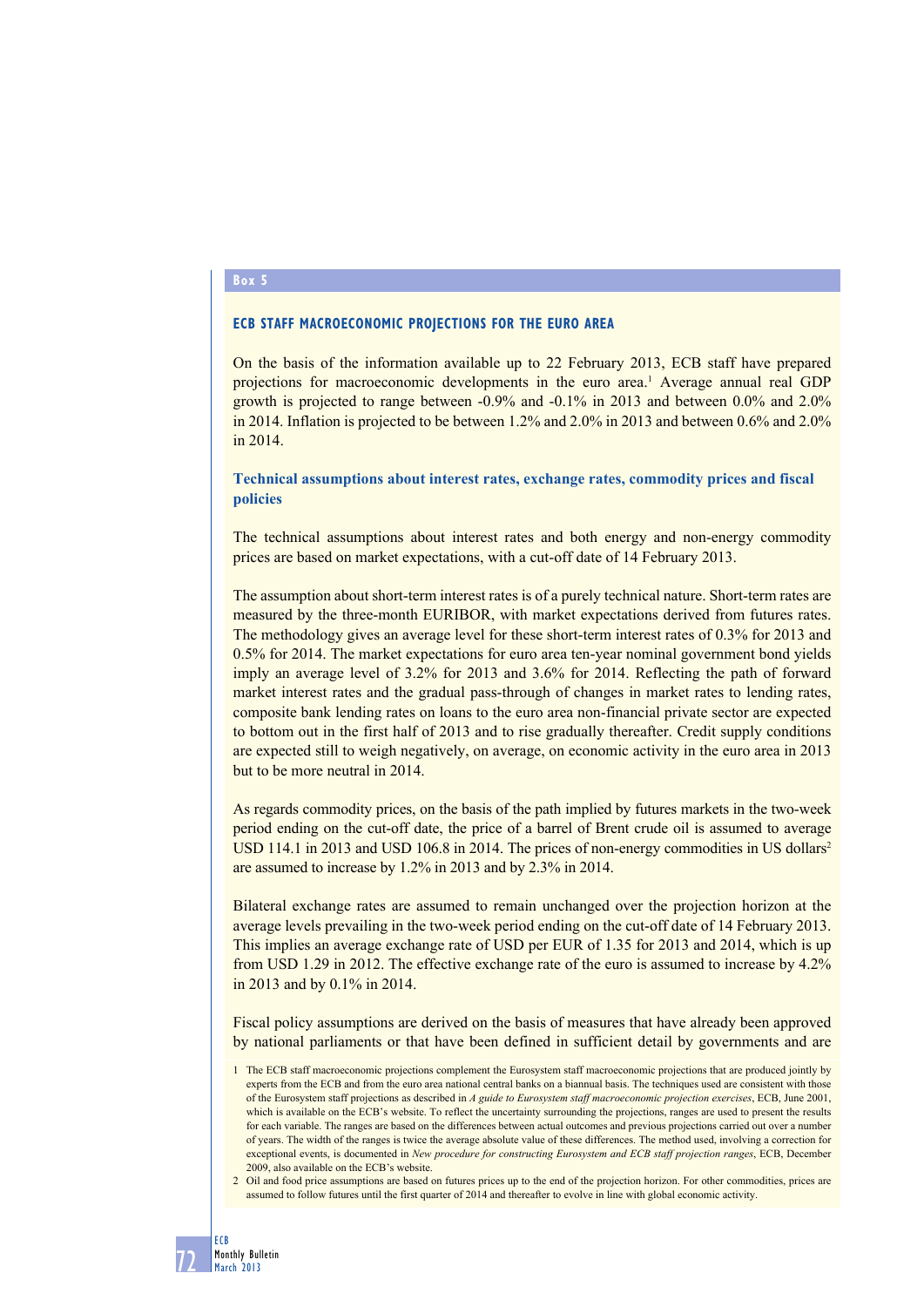# **Box 5**

## **ECB staff macroeconomic projections for the euro area**

On the basis of the information available up to 22 February 2013, ECB staff have prepared projections for macroeconomic developments in the euro area.<sup>1</sup> Average annual real GDP growth is projected to range between -0.9% and -0.1% in 2013 and between 0.0% and 2.0% in 2014. Inflation is projected to be between 1.2% and 2.0% in 2013 and between 0.6% and 2.0% in 2014.

## **Technical assumptions about interest rates, exchange rates, commodity prices and fiscal policies**

The technical assumptions about interest rates and both energy and non-energy commodity prices are based on market expectations, with a cut-off date of 14 February 2013.

The assumption about short-term interest rates is of a purely technical nature. Short-term rates are measured by the three-month EURIBOR, with market expectations derived from futures rates. The methodology gives an average level for these short-term interest rates of 0.3% for 2013 and 0.5% for 2014. The market expectations for euro area ten-year nominal government bond yields imply an average level of 3.2% for 2013 and 3.6% for 2014. Reflecting the path of forward market interest rates and the gradual pass-through of changes in market rates to lending rates, composite bank lending rates on loans to the euro area non-financial private sector are expected to bottom out in the first half of 2013 and to rise gradually thereafter. Credit supply conditions are expected still to weigh negatively, on average, on economic activity in the euro area in 2013 but to be more neutral in 2014.

As regards commodity prices, on the basis of the path implied by futures markets in the two-week period ending on the cut-off date, the price of a barrel of Brent crude oil is assumed to average USD 114.1 in 2013 and USD 106.8 in 2014. The prices of non-energy commodities in US dollars<sup>2</sup> are assumed to increase by 1.2% in 2013 and by 2.3% in 2014.

Bilateral exchange rates are assumed to remain unchanged over the projection horizon at the average levels prevailing in the two-week period ending on the cut-off date of 14 February 2013. This implies an average exchange rate of USD per EUR of 1.35 for 2013 and 2014, which is up from USD 1.29 in 2012. The effective exchange rate of the euro is assumed to increase by 4.2% in 2013 and by 0.1% in 2014.

Fiscal policy assumptions are derived on the basis of measures that have already been approved by national parliaments or that have been defined in sufficient detail by governments and are

<sup>1</sup> The ECB staff macroeconomic projections complement the Eurosystem staff macroeconomic projections that are produced jointly by experts from the ECB and from the euro area national central banks on a biannual basis. The techniques used are consistent with those of the Eurosystem staff projections as described in *A guide to Eurosystem staff macroeconomic projection exercises*, ECB, June 2001, which is available on the ECB's website. To reflect the uncertainty surrounding the projections, ranges are used to present the results for each variable. The ranges are based on the differences between actual outcomes and previous projections carried out over a number of years. The width of the ranges is twice the average absolute value of these differences. The method used, involving a correction for exceptional events, is documented in *New procedure for constructing Eurosystem and ECB staff projection ranges*, ECB, December 2009, also available on the ECB's website.

<sup>2</sup> Oil and food price assumptions are based on futures prices up to the end of the projection horizon. For other commodities, prices are assumed to follow futures until the first quarter of 2014 and thereafter to evolve in line with global economic activity.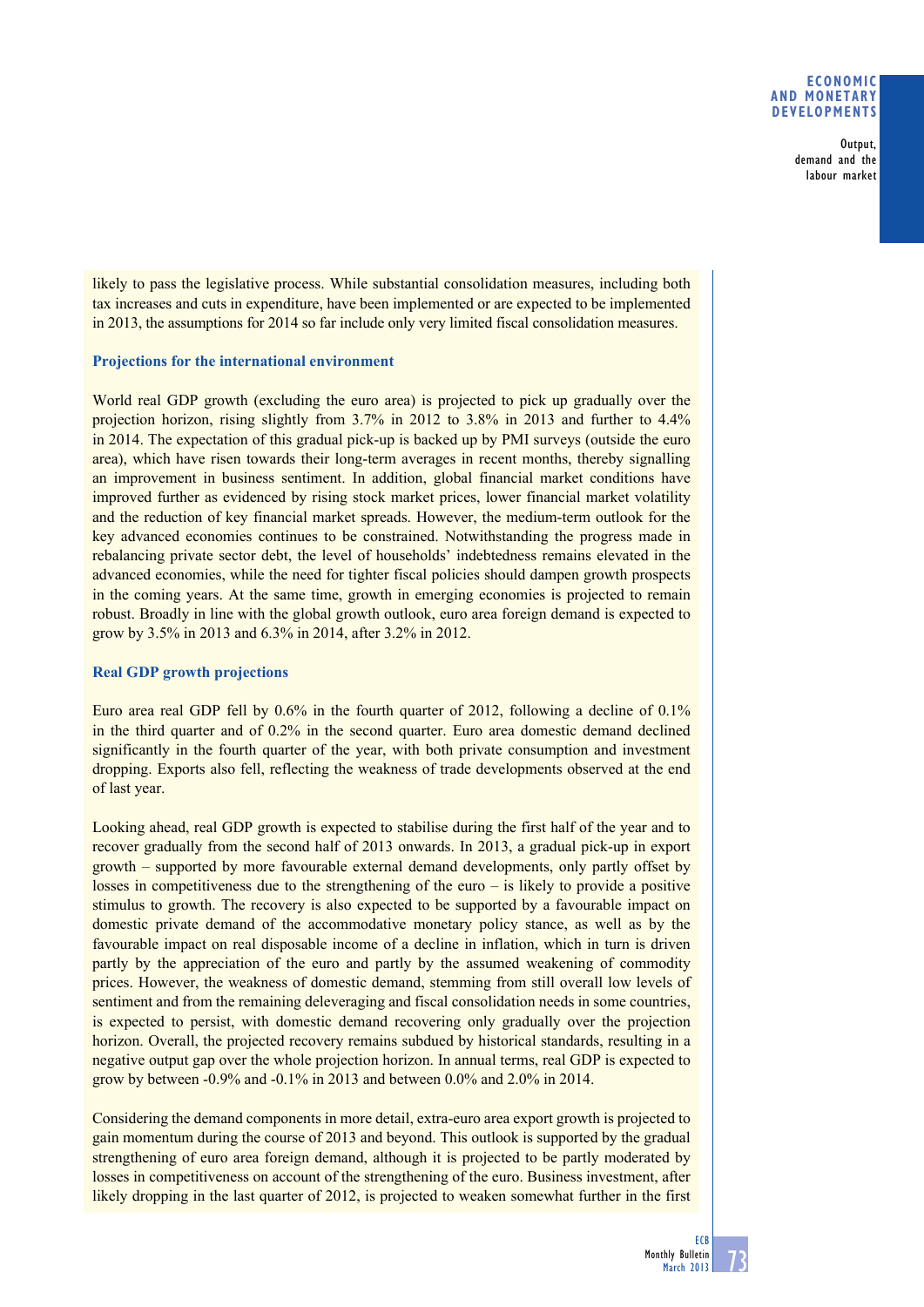## **Economic and monetary developments**

Output, demand and the labour market

likely to pass the legislative process. While substantial consolidation measures, including both tax increases and cuts in expenditure, have been implemented or are expected to be implemented in 2013, the assumptions for 2014 so far include only very limited fiscal consolidation measures.

# **Projections for the international environment**

World real GDP growth (excluding the euro area) is projected to pick up gradually over the projection horizon, rising slightly from 3.7% in 2012 to 3.8% in 2013 and further to 4.4% in 2014. The expectation of this gradual pick-up is backed up by PMI surveys (outside the euro area), which have risen towards their long-term averages in recent months, thereby signalling an improvement in business sentiment. In addition, global financial market conditions have improved further as evidenced by rising stock market prices, lower financial market volatility and the reduction of key financial market spreads. However, the medium-term outlook for the key advanced economies continues to be constrained. Notwithstanding the progress made in rebalancing private sector debt, the level of households' indebtedness remains elevated in the advanced economies, while the need for tighter fiscal policies should dampen growth prospects in the coming years. At the same time, growth in emerging economies is projected to remain robust. Broadly in line with the global growth outlook, euro area foreign demand is expected to grow by 3.5% in 2013 and 6.3% in 2014, after 3.2% in 2012.

# **Real GDP growth projections**

Euro area real GDP fell by 0.6% in the fourth quarter of 2012, following a decline of 0.1% in the third quarter and of 0.2% in the second quarter. Euro area domestic demand declined significantly in the fourth quarter of the year, with both private consumption and investment dropping. Exports also fell, reflecting the weakness of trade developments observed at the end of last year.

Looking ahead, real GDP growth is expected to stabilise during the first half of the year and to recover gradually from the second half of 2013 onwards. In 2013, a gradual pick-up in export growth – supported by more favourable external demand developments, only partly offset by losses in competitiveness due to the strengthening of the euro  $-$  is likely to provide a positive stimulus to growth. The recovery is also expected to be supported by a favourable impact on domestic private demand of the accommodative monetary policy stance, as well as by the favourable impact on real disposable income of a decline in inflation, which in turn is driven partly by the appreciation of the euro and partly by the assumed weakening of commodity prices. However, the weakness of domestic demand, stemming from still overall low levels of sentiment and from the remaining deleveraging and fiscal consolidation needs in some countries, is expected to persist, with domestic demand recovering only gradually over the projection horizon. Overall, the projected recovery remains subdued by historical standards, resulting in a negative output gap over the whole projection horizon. In annual terms, real GDP is expected to grow by between -0.9% and -0.1% in 2013 and between 0.0% and 2.0% in 2014.

Considering the demand components in more detail, extra-euro area export growth is projected to gain momentum during the course of 2013 and beyond. This outlook is supported by the gradual strengthening of euro area foreign demand, although it is projected to be partly moderated by losses in competitiveness on account of the strengthening of the euro. Business investment, after likely dropping in the last quarter of 2012, is projected to weaken somewhat further in the first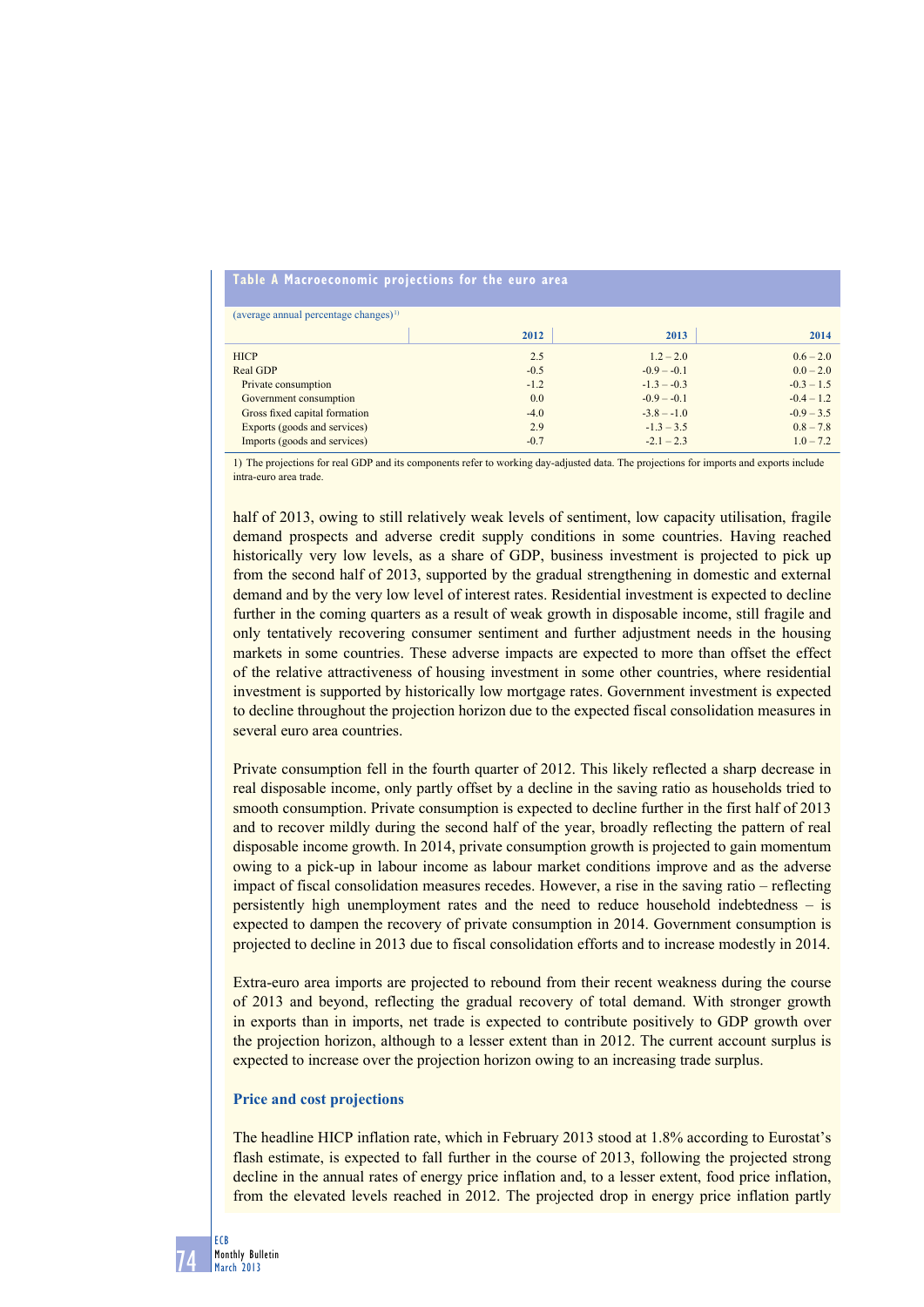#### **table a macroeconomic projections for the euro area**

| (average annual percentage changes) $^{(1)}$ |        |               |              |
|----------------------------------------------|--------|---------------|--------------|
|                                              | 2012   | 2013          | 2014         |
| <b>HICP</b>                                  | 2.5    | $1.2 - 2.0$   | $0.6 - 2.0$  |
| Real GDP                                     | $-0.5$ | $-0.9 - -0.1$ | $0.0 - 2.0$  |
| Private consumption                          | $-1.2$ | $-1.3 - -0.3$ | $-0.3 - 1.5$ |
| Government consumption                       | 0.0    | $-0.9 - -0.1$ | $-0.4 - 1.2$ |
| Gross fixed capital formation                | $-4.0$ | $-3.8 - -1.0$ | $-0.9 - 3.5$ |
| Exports (goods and services)                 | 2.9    | $-1.3 - 3.5$  | $0.8 - 7.8$  |
| Imports (goods and services)                 | $-0.7$ | $-2.1 - 2.3$  | $1.0 - 7.2$  |

1) The projections for real GDP and its components refer to working day-adjusted data. The projections for imports and exports include intra-euro area trade.

half of 2013, owing to still relatively weak levels of sentiment, low capacity utilisation, fragile demand prospects and adverse credit supply conditions in some countries. Having reached historically very low levels, as a share of GDP, business investment is projected to pick up from the second half of 2013, supported by the gradual strengthening in domestic and external demand and by the very low level of interest rates. Residential investment is expected to decline further in the coming quarters as a result of weak growth in disposable income, still fragile and only tentatively recovering consumer sentiment and further adjustment needs in the housing markets in some countries. These adverse impacts are expected to more than offset the effect of the relative attractiveness of housing investment in some other countries, where residential investment is supported by historically low mortgage rates. Government investment is expected to decline throughout the projection horizon due to the expected fiscal consolidation measures in several euro area countries.

Private consumption fell in the fourth quarter of 2012. This likely reflected a sharp decrease in real disposable income, only partly offset by a decline in the saving ratio as households tried to smooth consumption. Private consumption is expected to decline further in the first half of 2013 and to recover mildly during the second half of the year, broadly reflecting the pattern of real disposable income growth. In 2014, private consumption growth is projected to gain momentum owing to a pick-up in labour income as labour market conditions improve and as the adverse impact of fiscal consolidation measures recedes. However, a rise in the saving ratio – reflecting persistently high unemployment rates and the need to reduce household indebtedness – is expected to dampen the recovery of private consumption in 2014. Government consumption is projected to decline in 2013 due to fiscal consolidation efforts and to increase modestly in 2014.

Extra-euro area imports are projected to rebound from their recent weakness during the course of 2013 and beyond, reflecting the gradual recovery of total demand. With stronger growth in exports than in imports, net trade is expected to contribute positively to GDP growth over the projection horizon, although to a lesser extent than in 2012. The current account surplus is expected to increase over the projection horizon owing to an increasing trade surplus.

#### **Price and cost projections**

The headline HICP inflation rate, which in February 2013 stood at 1.8% according to Eurostat's flash estimate, is expected to fall further in the course of 2013, following the projected strong decline in the annual rates of energy price inflation and, to a lesser extent, food price inflation, from the elevated levels reached in 2012. The projected drop in energy price inflation partly

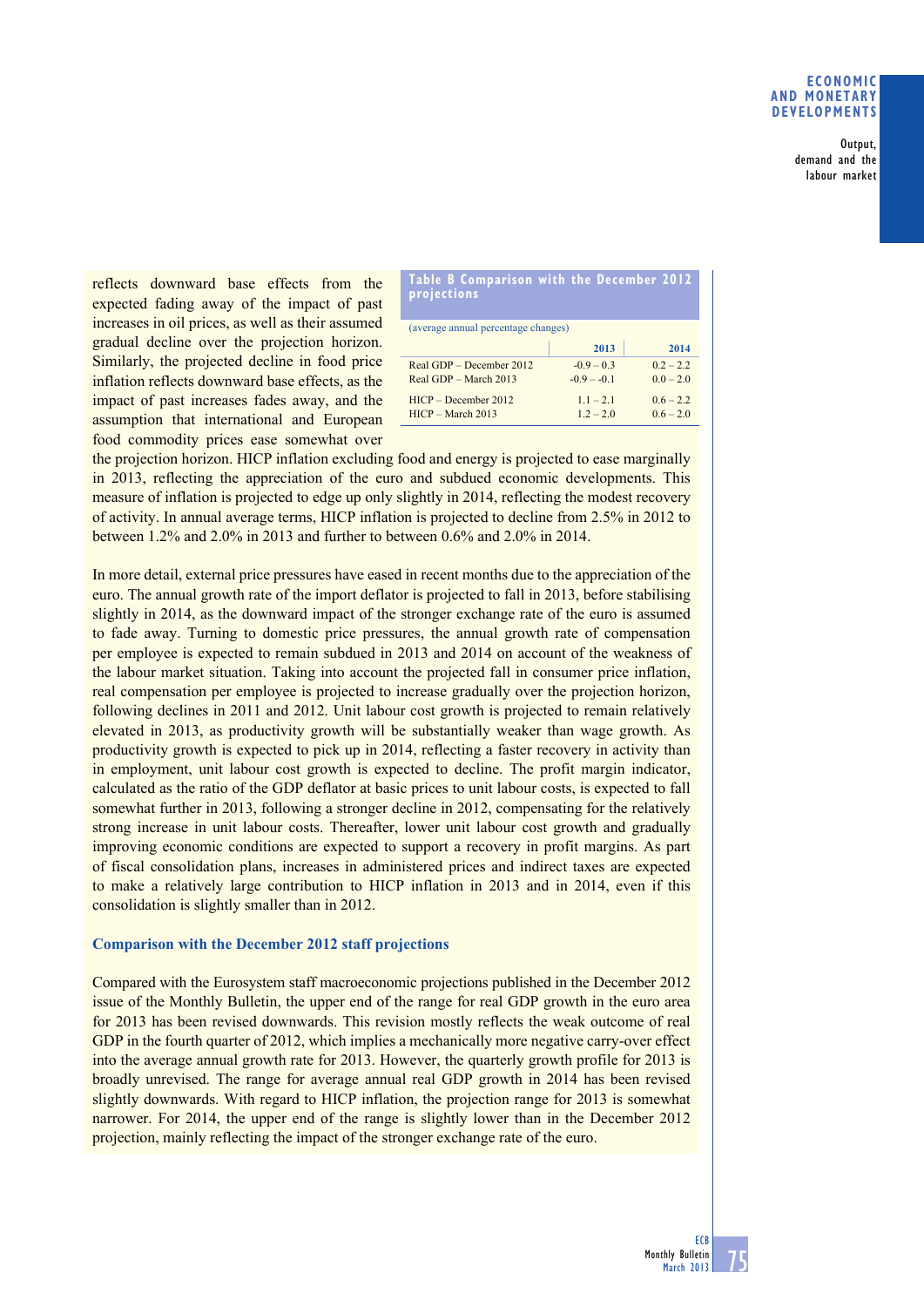### **Economic and monetary developments**

Output, demand and the labour market

reflects downward base effects from the expected fading away of the impact of past increases in oil prices, as well as their assumed gradual decline over the projection horizon. Similarly, the projected decline in food price inflation reflects downward base effects, as the impact of past increases fades away, and the assumption that international and European food commodity prices ease somewhat over

| Table B Comparison with the December 2012<br>projections |                            |                            |  |  |
|----------------------------------------------------------|----------------------------|----------------------------|--|--|
| (average annual percentage changes)                      |                            |                            |  |  |
|                                                          | 2013                       | 2014                       |  |  |
| Real GDP – December 2012                                 | $-0.9 - 0.3$               | $0.2 - 2.2$                |  |  |
| Real GDP - March 2013                                    | $-0.9 - -0.1$              | $00 - 20$                  |  |  |
| $HICP - December 2012$<br>$HICP - March 2013$            | $1.1 - 2.1$<br>$1.2 - 2.0$ | $0.6 - 2.2$<br>$0.6 - 2.0$ |  |  |

the projection horizon. HICP inflation excluding food and energy is projected to ease marginally in 2013, reflecting the appreciation of the euro and subdued economic developments. This measure of inflation is projected to edge up only slightly in 2014, reflecting the modest recovery of activity. In annual average terms, HICP inflation is projected to decline from 2.5% in 2012 to between 1.2% and 2.0% in 2013 and further to between 0.6% and 2.0% in 2014.

In more detail, external price pressures have eased in recent months due to the appreciation of the euro. The annual growth rate of the import deflator is projected to fall in 2013, before stabilising slightly in 2014, as the downward impact of the stronger exchange rate of the euro is assumed to fade away. Turning to domestic price pressures, the annual growth rate of compensation per employee is expected to remain subdued in 2013 and 2014 on account of the weakness of the labour market situation. Taking into account the projected fall in consumer price inflation, real compensation per employee is projected to increase gradually over the projection horizon, following declines in 2011 and 2012. Unit labour cost growth is projected to remain relatively elevated in 2013, as productivity growth will be substantially weaker than wage growth. As productivity growth is expected to pick up in 2014, reflecting a faster recovery in activity than in employment, unit labour cost growth is expected to decline. The profit margin indicator, calculated as the ratio of the GDP deflator at basic prices to unit labour costs, is expected to fall somewhat further in 2013, following a stronger decline in 2012, compensating for the relatively strong increase in unit labour costs. Thereafter, lower unit labour cost growth and gradually improving economic conditions are expected to support a recovery in profit margins. As part of fiscal consolidation plans, increases in administered prices and indirect taxes are expected to make a relatively large contribution to HICP inflation in 2013 and in 2014, even if this consolidation is slightly smaller than in 2012.

# **Comparison with the December 2012 staff projections**

Compared with the Eurosystem staff macroeconomic projections published in the December 2012 issue of the Monthly Bulletin, the upper end of the range for real GDP growth in the euro area for 2013 has been revised downwards. This revision mostly reflects the weak outcome of real GDP in the fourth quarter of 2012, which implies a mechanically more negative carry-over effect into the average annual growth rate for 2013. However, the quarterly growth profile for 2013 is broadly unrevised. The range for average annual real GDP growth in 2014 has been revised slightly downwards. With regard to HICP inflation, the projection range for 2013 is somewhat narrower. For 2014, the upper end of the range is slightly lower than in the December 2012 projection, mainly reflecting the impact of the stronger exchange rate of the euro.